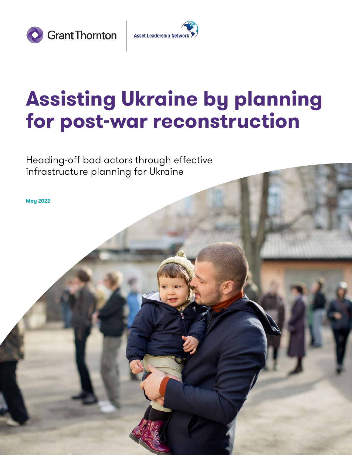



## **Assisting Ukraine by planning for post-war reconstruction**

Heading-off bad actors through effective infrastructure planning for Ukraine

**May 2022**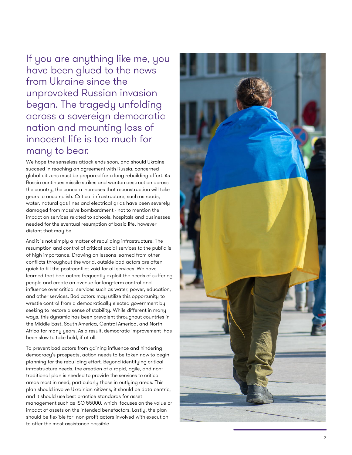If you are anything like me, you have been glued to the news from Ukraine since the unprovoked Russian invasion began. The tragedy unfolding across a sovereign democratic nation and mounting loss of innocent life is too much for many to bear.

We hope the senseless attack ends soon, and should Ukraine succeed in reaching an agreement with Russia, concerned global citizens must be prepared for a long rebuilding effort. As Russia continues missile strikes and wanton destruction across the country, the concern increases that reconstruction will take years to accomplish. Critical infrastructure, such as roads, water, natural gas lines and electrical grids have been severely damaged from massive bombardment - not to mention the impact on services related to schools, hospitals and businesses needed for the eventual resumption of basic life, however distant that may be.

And it is not simply a matter of rebuilding infrastructure. The resumption and control of critical social services to the public is of high importance. Drawing on lessons learned from other conflicts throughout the world, outside bad actors are often quick to fill the post -conflict void for all services. We have learned that bad actors frequently exploit the needs of suffering people and create an avenue for long -term control and influence over critical services such as water, power, education, and other services. Bad actors may utilize this opportunity to wrestle control from a democratically elected government by seeking to restore a sense of stability. While different in many ways, this dynamic has been prevalent throughout countries in the Middle East, South America, Central America, and North Africa for many years. As a result, democratic improvement has been slow to take hold, if at all.

To prevent bad actors from gaining influence and hindering democracy's prospects, action needs to be taken now to begin planning for the rebuilding effort. Beyond identifying critical infrastructure needs, the creation of a rapid, agile, and non traditional plan is needed to provide the services to critical areas most in need, particularly those in outlying areas. This plan should involve Ukrainian citizens, it should be data centric, and it should use best practice standards for asset management such as ISO 55000, which focuses on the value or impact of assets on the intended benefactors. Lastly, the plan should be flexible for non -profit actors involved with execution to offer the most assistance possible.